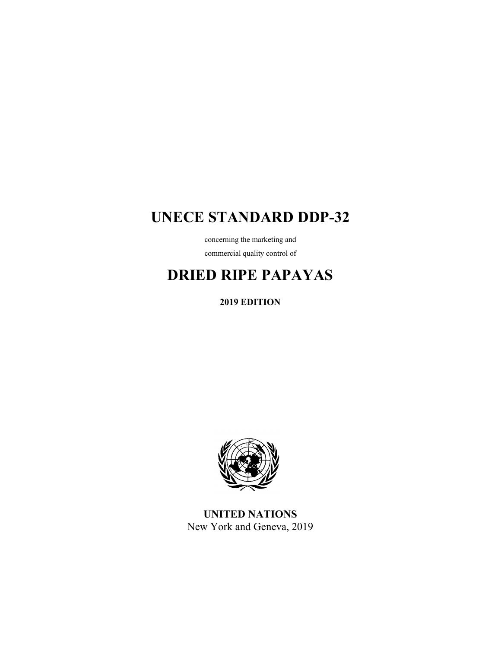## **UNECE STANDARD DDP-32**

concerning the marketing and commercial quality control of

# **DRIED RIPE PAPAYAS**

**2019 EDITION** 



**UNITED NATIONS**  New York and Geneva, 2019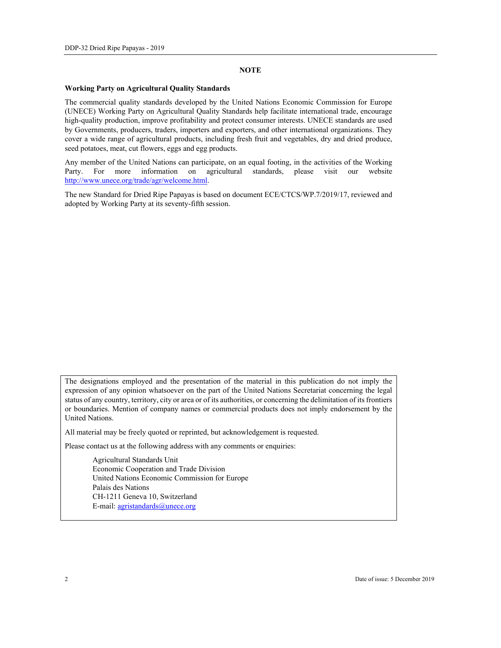#### **NOTE**

#### **Working Party on Agricultural Quality Standards**

The commercial quality standards developed by the United Nations Economic Commission for Europe (UNECE) Working Party on Agricultural Quality Standards help facilitate international trade, encourage high-quality production, improve profitability and protect consumer interests. UNECE standards are used by Governments, producers, traders, importers and exporters, and other international organizations. They cover a wide range of agricultural products, including fresh fruit and vegetables, dry and dried produce, seed potatoes, meat, cut flowers, eggs and egg products.

Any member of the United Nations can participate, on an equal footing, in the activities of the Working Party. For more information on agricultural standards, please visit our website http://www.unece.org/trade/agr/welcome.html.

The new Standard for Dried Ripe Papayas is based on document ECE/CTCS/WP.7/2019/17, reviewed and adopted by Working Party at its seventy-fifth session.

The designations employed and the presentation of the material in this publication do not imply the expression of any opinion whatsoever on the part of the United Nations Secretariat concerning the legal status of any country, territory, city or area or of its authorities, or concerning the delimitation of its frontiers or boundaries. Mention of company names or commercial products does not imply endorsement by the United Nations.

All material may be freely quoted or reprinted, but acknowledgement is requested.

Please contact us at the following address with any comments or enquiries:

 Agricultural Standards Unit Economic Cooperation and Trade Division United Nations Economic Commission for Europe Palais des Nations CH-1211 Geneva 10, Switzerland E-mail: agristandards@unece.org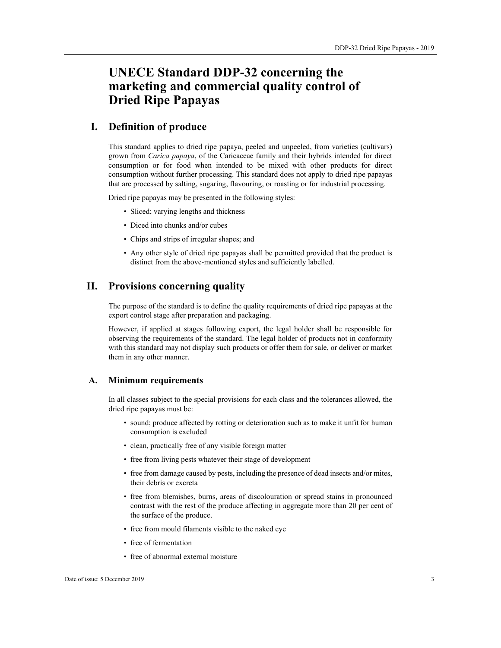## **UNECE Standard DDP-32 concerning the marketing and commercial quality control of Dried Ripe Papayas**

## **I. Definition of produce**

This standard applies to dried ripe papaya, peeled and unpeeled, from varieties (cultivars) grown from *Carica papaya*, of the Caricaceae family and their hybrids intended for direct consumption or for food when intended to be mixed with other products for direct consumption without further processing. This standard does not apply to dried ripe papayas that are processed by salting, sugaring, flavouring, or roasting or for industrial processing.

Dried ripe papayas may be presented in the following styles:

- Sliced; varying lengths and thickness
- Diced into chunks and/or cubes
- Chips and strips of irregular shapes; and
- Any other style of dried ripe papayas shall be permitted provided that the product is distinct from the above-mentioned styles and sufficiently labelled.

## **II. Provisions concerning quality**

The purpose of the standard is to define the quality requirements of dried ripe papayas at the export control stage after preparation and packaging.

However, if applied at stages following export, the legal holder shall be responsible for observing the requirements of the standard. The legal holder of products not in conformity with this standard may not display such products or offer them for sale, or deliver or market them in any other manner.

#### **A. Minimum requirements**

In all classes subject to the special provisions for each class and the tolerances allowed, the dried ripe papayas must be:

- sound; produce affected by rotting or deterioration such as to make it unfit for human consumption is excluded
- clean, practically free of any visible foreign matter
- free from living pests whatever their stage of development
- free from damage caused by pests, including the presence of dead insects and/or mites, their debris or excreta
- free from blemishes, burns, areas of discolouration or spread stains in pronounced contrast with the rest of the produce affecting in aggregate more than 20 per cent of the surface of the produce.
- free from mould filaments visible to the naked eye
- free of fermentation
- free of abnormal external moisture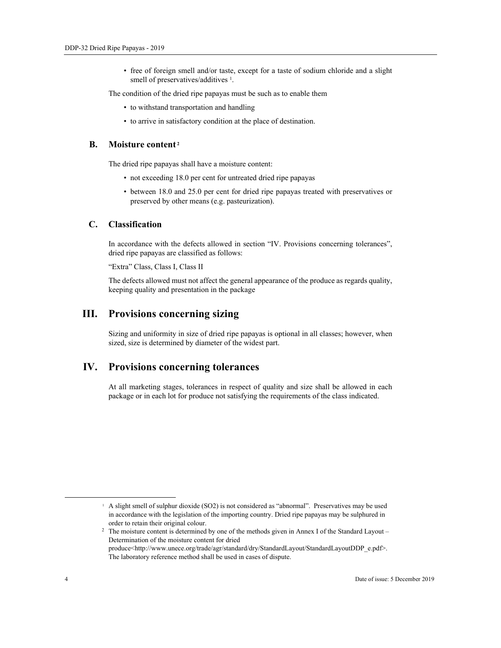• free of foreign smell and/or taste, except for a taste of sodium chloride and a slight smell of preservatives/additives <sup>1</sup>.

The condition of the dried ripe papayas must be such as to enable them

- to withstand transportation and handling
- to arrive in satisfactory condition at the place of destination.

#### **B.** Moisture content<sup>2</sup>

The dried ripe papayas shall have a moisture content:

- not exceeding 18.0 per cent for untreated dried ripe papayas
- between 18.0 and 25.0 per cent for dried ripe papayas treated with preservatives or preserved by other means (e.g. pasteurization).

#### **C. Classification**

In accordance with the defects allowed in section "IV. Provisions concerning tolerances", dried ripe papayas are classified as follows:

"Extra" Class, Class I, Class II

The defects allowed must not affect the general appearance of the produce as regards quality, keeping quality and presentation in the package

## **III. Provisions concerning sizing**

Sizing and uniformity in size of dried ripe papayas is optional in all classes; however, when sized, size is determined by diameter of the widest part.

## **IV. Provisions concerning tolerances**

At all marketing stages, tolerances in respect of quality and size shall be allowed in each package or in each lot for produce not satisfying the requirements of the class indicated.

 <sup>1</sup> A slight smell of sulphur dioxide (SO2) is not considered as "abnormal". Preservatives may be used in accordance with the legislation of the importing country. Dried ripe papayas may be sulphured in order to retain their original colour.<br><sup>2</sup> The moisture content is determined by one of the methods given in Annex I of the Standard Layout –

Determination of the moisture content for dried produce<http://www.unece.org/trade/agr/standard/dry/StandardLayout/StandardLayoutDDP\_e.pdf>. The laboratory reference method shall be used in cases of dispute.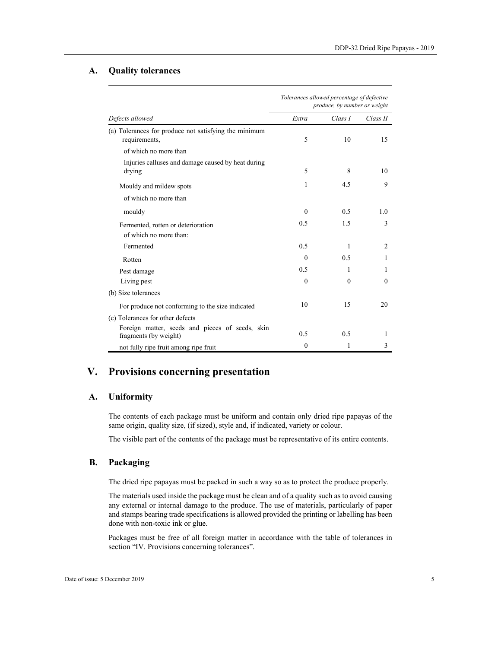#### **A. Quality tolerances**

| Defects allowed                                                          | Tolerances allowed percentage of defective<br>produce, by number or weight |          |                |
|--------------------------------------------------------------------------|----------------------------------------------------------------------------|----------|----------------|
|                                                                          | Extra                                                                      | Class I  | Class II       |
| (a) Tolerances for produce not satisfying the minimum<br>requirements,   | 5                                                                          | 10       | 15             |
| of which no more than                                                    |                                                                            |          |                |
| Injuries calluses and damage caused by heat during<br>drying             | 5                                                                          | 8        | 10             |
| Mouldy and mildew spots                                                  | 1                                                                          | 4.5      | 9              |
| of which no more than                                                    |                                                                            |          |                |
| mouldy                                                                   | $\theta$                                                                   | 0.5      | 1.0            |
| Fermented, rotten or deterioration<br>of which no more than:             | 0.5                                                                        | 1.5      | 3              |
| Fermented                                                                | 0.5                                                                        | 1        | $\overline{c}$ |
| Rotten                                                                   | $\theta$                                                                   | 0.5      | 1              |
| Pest damage                                                              | 0.5                                                                        | 1        | 1              |
| Living pest                                                              | $\theta$                                                                   | $\theta$ | $\Omega$       |
| (b) Size tolerances                                                      |                                                                            |          |                |
| For produce not conforming to the size indicated                         | 10                                                                         | 15       | 20             |
| (c) Tolerances for other defects                                         |                                                                            |          |                |
| Foreign matter, seeds and pieces of seeds, skin<br>fragments (by weight) | 0.5                                                                        | 0.5      | 1              |
| not fully ripe fruit among ripe fruit                                    | $\mathbf{0}$                                                               | 1        | 3              |

## **V. Provisions concerning presentation**

## **A. Uniformity**

The contents of each package must be uniform and contain only dried ripe papayas of the same origin, quality size, (if sized), style and, if indicated, variety or colour.

The visible part of the contents of the package must be representative of its entire contents.

#### **B. Packaging**

The dried ripe papayas must be packed in such a way so as to protect the produce properly.

The materials used inside the package must be clean and of a quality such as to avoid causing any external or internal damage to the produce. The use of materials, particularly of paper and stamps bearing trade specifications is allowed provided the printing or labelling has been done with non-toxic ink or glue.

Packages must be free of all foreign matter in accordance with the table of tolerances in section "IV. Provisions concerning tolerances".